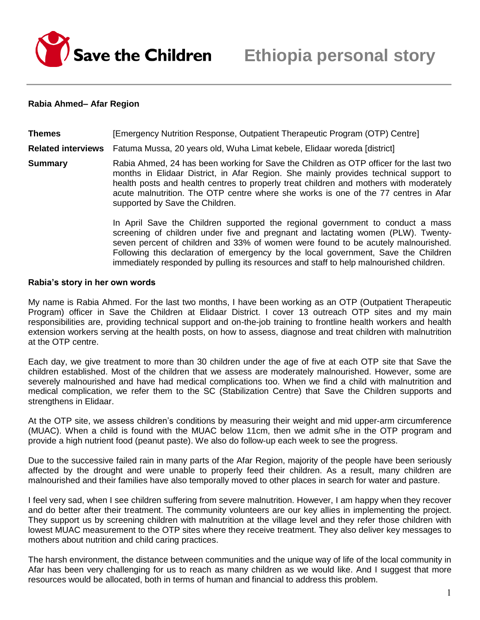

### **Rabia Ahmed– Afar Region**

**Themes** [Emergency Nutrition Response, Outpatient Therapeutic Program (OTP) Centre] **Related interviews** Fatuma Mussa, 20 years old, Wuha Limat kebele, Elidaar woreda [district] **Summary** Rabia Ahmed, 24 has been working for Save the Children as OTP officer for the last two months in Elidaar District, in Afar Region. She mainly provides technical support to health posts and health centres to properly treat children and mothers with moderately acute malnutrition. The OTP centre where she works is one of the 77 centres in Afar

supported by Save the Children.

In April Save the Children supported the regional government to conduct a mass screening of children under five and pregnant and lactating women (PLW). Twentyseven percent of children and 33% of women were found to be acutely malnourished. Following this declaration of emergency by the local government, Save the Children immediately responded by pulling its resources and staff to help malnourished children.

#### **Rabia's story in her own words**

My name is Rabia Ahmed. For the last two months, I have been working as an OTP (Outpatient Therapeutic Program) officer in Save the Children at Elidaar District. I cover 13 outreach OTP sites and my main responsibilities are, providing technical support and on-the-job training to frontline health workers and health extension workers serving at the health posts, on how to assess, diagnose and treat children with malnutrition at the OTP centre.

Each day, we give treatment to more than 30 children under the age of five at each OTP site that Save the children established. Most of the children that we assess are moderately malnourished. However, some are severely malnourished and have had medical complications too. When we find a child with malnutrition and medical complication, we refer them to the SC (Stabilization Centre) that Save the Children supports and strengthens in Elidaar.

At the OTP site, we assess children's conditions by measuring their weight and mid upper-arm circumference (MUAC). When a child is found with the MUAC below 11cm, then we admit s/he in the OTP program and provide a high nutrient food (peanut paste). We also do follow-up each week to see the progress.

Due to the successive failed rain in many parts of the Afar Region, majority of the people have been seriously affected by the drought and were unable to properly feed their children. As a result, many children are malnourished and their families have also temporally moved to other places in search for water and pasture.

I feel very sad, when I see children suffering from severe malnutrition. However, I am happy when they recover and do better after their treatment. The community volunteers are our key allies in implementing the project. They support us by screening children with malnutrition at the village level and they refer those children with lowest MUAC measurement to the OTP sites where they receive treatment. They also deliver key messages to mothers about nutrition and child caring practices.

The harsh environment, the distance between communities and the unique way of life of the local community in Afar has been very challenging for us to reach as many children as we would like. And I suggest that more resources would be allocated, both in terms of human and financial to address this problem.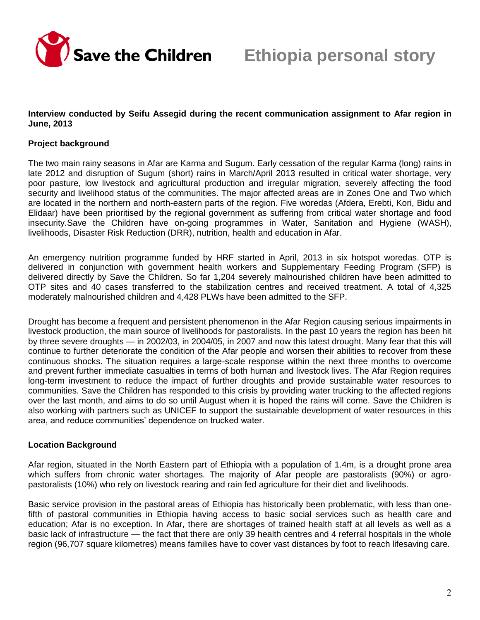

### **Interview conducted by Seifu Assegid during the recent communication assignment to Afar region in June, 2013**

# **Project background**

The two main rainy seasons in Afar are Karma and Sugum. Early cessation of the regular Karma (long) rains in late 2012 and disruption of Sugum (short) rains in March/April 2013 resulted in critical water shortage, very poor pasture, low livestock and agricultural production and irregular migration, severely affecting the food security and livelihood status of the communities. The major affected areas are in Zones One and Two which are located in the northern and north-eastern parts of the region. Five woredas (Afdera, Erebti, Kori, Bidu and Elidaar) have been prioritised by the regional government as suffering from critical water shortage and food insecurity.Save the Children have on-going programmes in Water, Sanitation and Hygiene (WASH), livelihoods, Disaster Risk Reduction (DRR), nutrition, health and education in Afar.

An emergency nutrition programme funded by HRF started in April, 2013 in six hotspot woredas. OTP is delivered in conjunction with government health workers and Supplementary Feeding Program (SFP) is delivered directly by Save the Children. So far 1,204 severely malnourished children have been admitted to OTP sites and 40 cases transferred to the stabilization centres and received treatment. A total of 4,325 moderately malnourished children and 4,428 PLWs have been admitted to the SFP.

Drought has become a frequent and persistent phenomenon in the Afar Region causing serious impairments in livestock production, the main source of livelihoods for pastoralists. In the past 10 years the region has been hit by three severe droughts — in 2002/03, in 2004/05, in 2007 and now this latest drought. Many fear that this will continue to further deteriorate the condition of the Afar people and worsen their abilities to recover from these continuous shocks. The situation requires a large-scale response within the next three months to overcome and prevent further immediate casualties in terms of both human and livestock lives. The Afar Region requires long-term investment to reduce the impact of further droughts and provide sustainable water resources to communities. Save the Children has responded to this crisis by providing water trucking to the affected regions over the last month, and aims to do so until August when it is hoped the rains will come. Save the Children is also working with partners such as UNICEF to support the sustainable development of water resources in this area, and reduce communities' dependence on trucked water.

## **Location Background**

Afar region, situated in the North Eastern part of Ethiopia with a population of 1.4m, is a drought prone area which suffers from chronic water shortages. The majority of Afar people are pastoralists (90%) or agropastoralists (10%) who rely on livestock rearing and rain fed agriculture for their diet and livelihoods.

Basic service provision in the pastoral areas of Ethiopia has historically been problematic, with less than onefifth of pastoral communities in Ethiopia having access to basic social services such as health care and education; Afar is no exception. In Afar, there are shortages of trained health staff at all levels as well as a basic lack of infrastructure — the fact that there are only 39 health centres and 4 referral hospitals in the whole region (96,707 square kilometres) means families have to cover vast distances by foot to reach lifesaving care.